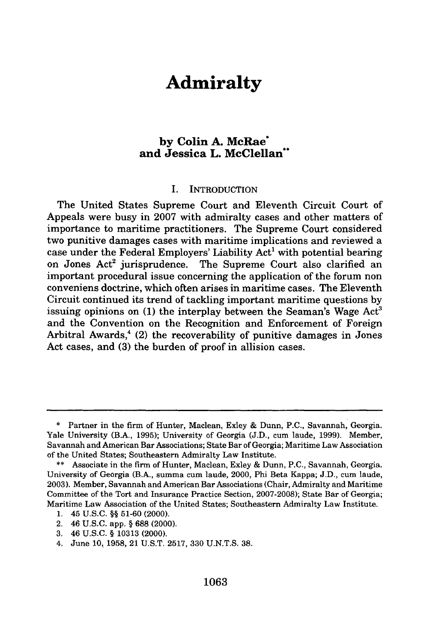# **Admiralty**

# **by Colin A. McRae\* and Jessica L. McClellan\*\***

#### I. **INTRODUCTION**

The United States Supreme Court and Eleventh Circuit Court **of** Appeals were busy in **2007** with admiralty cases and other matters of importance to maritime practitioners. The Supreme Court considered two punitive damages cases with maritime implications and reviewed a case under the Federal Employers' Liability Act' with potential bearing on Jones Act<sup>2</sup> jurisprudence. The Supreme Court also clarified an important procedural issue concerning the application of the forum non conveniens doctrine, which often arises in maritime cases. The Eleventh Circuit continued its trend of tackling important maritime questions **by** issuing opinions on (1) the interplay between the Seaman's Wage Act<sup>3</sup> and the Convention on the Recognition and Enforcement of Foreign Arbitral Awards, $4$  (2) the recoverability of punitive damages in Jones Act cases, and **(3)** the burden of proof in allision cases.

**<sup>\*</sup>** Partner in the firm of Hunter, Maclean, **Exley &** Dunn, **P.C.,** Savannah, Georgia. Yale University (B.A., **1995);** University of Georgia **(J.D.,** cum laude, **1999).** Member, Savannah and American Bar Associations; State Bar of Georgia; Maritime Law Association of the United States; Southeastern Admiralty Law Institute.

**<sup>\*\*</sup>** Associate in the firm of Hunter, Maclean, Exley **&** Dunn, **P.C.,** Savannah, Georgia. University of Georgia (B.A., summa cum laude, 2000, Phi Beta Kappa; **J.D.,** cum laude, **2003).** Member, Savannah and American Bar Associations (Chair, Admiralty and Maritime Committee of the Tort and Insurance Practice Section, **2007-2008);** State Bar of Georgia; Maritime Law Association of the United States; Southeastern Admiralty Law Institute.

<sup>1. 45</sup> U.S.C. §§ 51-60 (2000).

<sup>2. 46</sup> U.S.C. app. **§** 688 (2000).

<sup>3. 46</sup> U.S.C. § 10313 (2000).

<sup>4.</sup> June **10,** 1958, 21 **U.S.T.** 2517, 330 U.N.T.S. 38.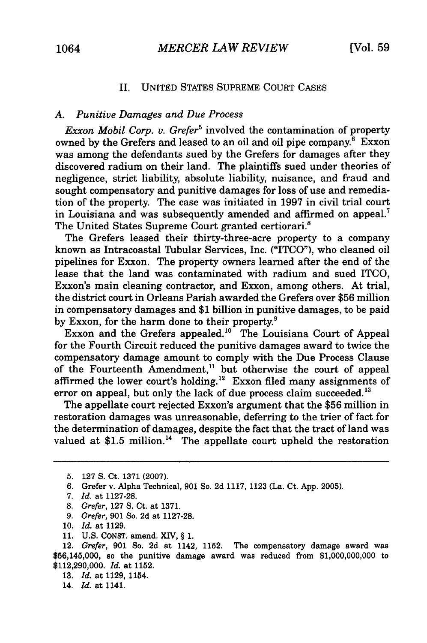### II. UNITED STATES SUPREME COURT CASES

#### *A. Punitive Damages and Due Process*

*Exxon Mobil Corp. v. Grefer*<sup>5</sup> involved the contamination of property owned by the Grefers and leased to an oil and oil pipe company. $6$  Exxon was among the defendants sued by the Grefers for damages after they discovered radium on their land. The plaintiffs sued under theories of negligence, strict liability, absolute liability, nuisance, and fraud and sought compensatory and punitive damages for loss of use and remediation of the property. The case was initiated in 1997 in civil trial court in Louisiana and was subsequently amended and affirmed on appeal.<sup>7</sup> The United States Supreme Court granted certiorari.<sup>8</sup>

The Grefers leased their thirty-three-acre property to a company known as Intracoastal Tubular Services, Inc. ("ITCO"), who cleaned oil pipelines for Exxon. The property owners learned after the end of the lease that the land was contaminated with radium and sued ITCO, Exxon's main cleaning contractor, and Exxon, among others. At trial, the district court in Orleans Parish awarded the Grefers over \$56 million in compensatory damages and \$1 billion in punitive damages, to be paid by Exxon, for the harm done to their property.<sup>9</sup>

Exxon and the Grefers appealed.<sup>10</sup> The Louisiana Court of Appeal for the Fourth Circuit reduced the punitive damages award to twice the compensatory damage amount to comply with the Due Process Clause of the Fourteenth Amendment, $1$  but otherwise the court of appeal affirmed the lower court's holding.<sup>12</sup> Exxon filed many assignments of error on appeal, but only the lack of due process claim succeeded.<sup>13</sup>

The appellate court rejected Exxon's argument that the \$56 million in restoration damages was unreasonable, deferring to the trier of fact for the determination of damages, despite the fact that the tract of land was valued at  $$1.5$  million.<sup>14</sup> The appellate court upheld the restoration

9. Grefer, 901 So. 2d at 1127-28.

11. U.S. CONST. amend. XIV, § 1.

12. Grefer, 901 So. 2d at 1142, 1152. The compensatory damage award was \$56,145,000, so the punitive damage award was reduced from \$1,000,000,000 to \$112,290,000. *Id.* at 1152.

13. *Id.* at 1129, 1154.

14. *Id.* at 1141.

<sup>5. 127</sup> **S.** Ct. 1371 (2007).

<sup>6.</sup> Grefer v. Alpha Technical, **901** So. 2d 1117, 1123 (La. Ct. App. 2005).

<sup>7.</sup> Id. at 1127-28.

<sup>8.</sup> Grefer, 127 **S.** Ct. at 1371.

<sup>10.</sup> Id. at 1129.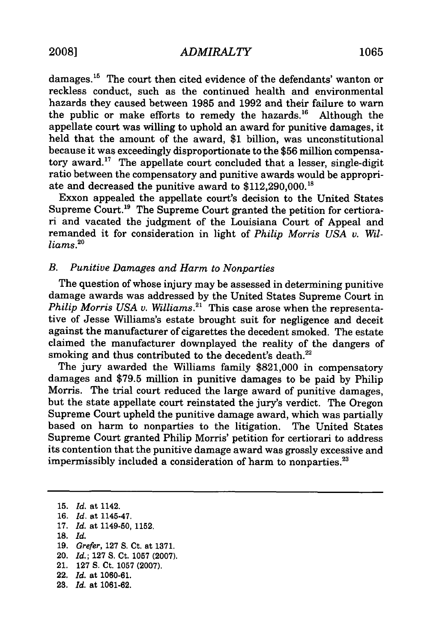damages.<sup>15</sup> The court then cited evidence of the defendants' wanton or reckless conduct, such as the continued health and environmental hazards they caused between 1985 and 1992 and their failure to warn the public or make efforts to remedy the hazards.<sup>16</sup> Although the appellate court was willing to uphold an award for punitive damages, it held that the amount of the award, \$1 billion, was unconstitutional because it was exceedingly disproportionate to the \$56 million compensatory award.<sup>17</sup> The appellate court concluded that a lesser, single-digit ratio between the compensatory and punitive awards would be appropriate and decreased the punitive award to \$112,290,000.18

Exxon appealed the appellate court's decision to the United States Supreme Court.<sup>19</sup> The Supreme Court granted the petition for certiorari and vacated the judgment of the Louisiana Court of Appeal and remanded it for consideration in light of *Philip Morris USA v. Williams.'°*

## *B. Punitive Damages and Harm to Nonparties*

The question of whose injury may be assessed in determining punitive damage awards was addressed by the United States Supreme Court in *Philip Morris USA v. Williams.*<sup>21</sup> This case arose when the representative of Jesse Williams's estate brought suit for negligence and deceit against the manufacturer of cigarettes the decedent smoked. The estate claimed the manufacturer downplayed the reality of the dangers of smoking and thus contributed to the decedent's death.<sup>22</sup>

The jury awarded the Williams family \$821,000 in compensatory damages and \$79.5 million in punitive damages to be paid by Philip Morris. The trial court reduced the large award of punitive damages, but the state appellate court reinstated the jury's verdict. The Oregon Supreme Court upheld the punitive damage award, which was partially based on harm to nonparties to the litigation. The United States Supreme Court granted Philip Morris' petition for certiorari to address its contention that the punitive damage award was grossly excessive and impermissibly included a consideration of harm to nonparties.<sup>23</sup>

15. *Id.* at 1142. **16.** *Id.* at 1145-47. 17. *Id.* at 1149-50, 1152. **18.** *Id.* **19.** *Grefer,* 127 S. Ct. at 1371. 20. *Id.;* 127 S. Ct. 1057 (2007). 21. **127** S. Ct. 1057 (2007). 22. *Id.* at **1060-61. 23.** *Id.* at 1061-62.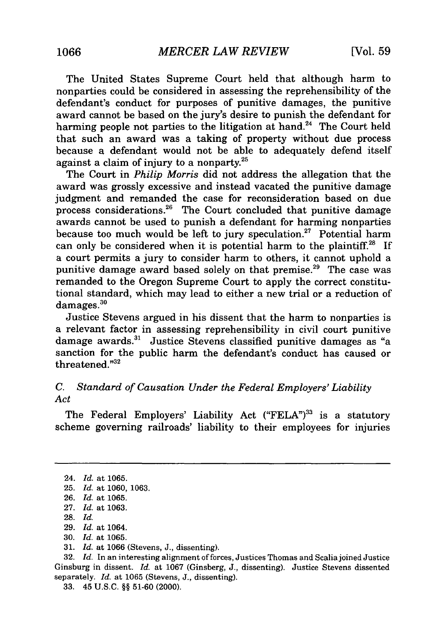The United States Supreme Court held that although harm to nonparties could be considered in assessing the reprehensibility of the defendant's conduct for purposes of punitive damages, the punitive award cannot be based on the jury's desire to punish the defendant for harming people not parties to the litigation at hand.<sup>24</sup> The Court held that such an award was a taking of property without due process because a defendant would not be able to adequately defend itself against a claim of injury to a nonparty. $2^5$ 

The Court in *Philip Morris* did not address the allegation that the award was grossly excessive and instead vacated the punitive damage judgment and remanded the case for reconsideration based on due process considerations.<sup>26</sup> The Court concluded that punitive damage awards cannot be used to punish a defendant for harming nonparties because too much would be left to jury speculation.<sup>27</sup> Potential harm can only be considered when it is potential harm to the plaintiff.<sup>28</sup> If a court permits a jury to consider harm to others, it cannot uphold a punitive damage award based solely on that premise.<sup>29</sup> The case was remanded to the Oregon Supreme Court to apply the correct constitutional standard, which may lead to either a new trial or a reduction of damages.<sup>30</sup>

Justice Stevens argued in his dissent that the harm to nonparties is a relevant factor in assessing reprehensibility in civil court punitive damage awards.<sup>31</sup> Justice Stevens classified punitive damages as "a sanction for the public harm the defendant's conduct has caused or threatened. $^{n32}$ 

# *C. Standard of Causation Under the Federal Employers' Liability Act*

The Federal Employers' Liability Act ("FELA")<sup>33</sup> is a statutory scheme governing railroads' liability to their employees for injuries

30. *Id.* at 1065.

<sup>24.</sup> *Id.* at 1065.

<sup>25.</sup> *Id.* at 1060, 1063.

<sup>26.</sup> *Id.* at 1065.

<sup>27.</sup> *Id.* at 1063.

<sup>28.</sup> *Id.*

<sup>29.</sup> *Id.* at 1064.

<sup>31.</sup> *Id.* at 1066 (Stevens, J., dissenting).

<sup>32.</sup> *Id.* In an interesting alignment of forces, Justices Thomas and Scalia joined Justice Ginsburg in dissent. *Id.* at 1067 (Ginsberg, J., dissenting). Justice Stevens dissented separately. *Id.* at 1065 (Stevens, J., dissenting).

<sup>33. 45</sup> U.S.C. §§ 51-60 (2000).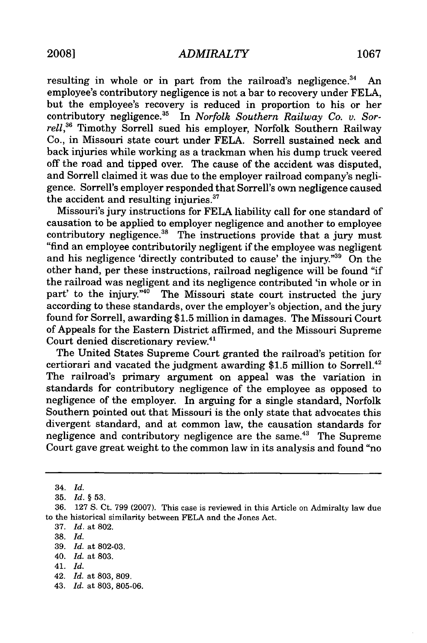resulting in whole or in part from the railroad's negligence. $34$  An employee's contributory negligence is not a bar to recovery under FELA, but the employee's recovery is reduced in proportion to his or her contributory negligence. 35 In *Norfolk Southern Railway Co. v. Sor*rell,<sup>36</sup> Timothy Sorrell sued his employer, Norfolk Southern Railway Co., in Missouri state court under FELA. Sorrell sustained neck and back injuries while working as a trackman when his dump truck veered off the road and tipped over. The cause of the accident was disputed, and Sorrell claimed it was due to the employer railroad company's negligence. Sorrell's employer responded that Sorrell's own negligence caused the accident and resulting injuries.<sup>37</sup>

Missouri's jury instructions for FELA liability call for one standard of causation to be applied to employer negligence and another to employee contributory negligence.<sup>38</sup> The instructions provide that a jury must "find an employee contributorily negligent if the employee was negligent and his negligence 'directly contributed to cause' the injury."39 On the other hand, per these instructions, railroad negligence will be found "if the railroad was negligent and its negligence contributed 'in whole or in part' to the injury."<sup>40</sup> The Missouri state court instructed the jury according to these standards, over the employer's objection, and the jury found for Sorrell, awarding \$1.5 million in damages. The Missouri Court of Appeals for the Eastern District affirmed, and the Missouri Supreme Court denied discretionary review.<sup>41</sup>

The United States Supreme Court granted the railroad's petition for certiorari and vacated the judgment awarding \$1.5 million to Sorrell.<sup>42</sup> The railroad's primary argument on appeal was the variation in standards for contributory negligence of the employee as opposed to negligence of the employer. In arguing for a single standard, Norfolk Southern pointed out that Missouri is the only state that advocates this divergent standard, and at common law, the causation standards for negligence and contributory negligence are the same.<sup>43</sup> The Supreme Court gave great weight to the common law in its analysis and found "no

- 37. *Id.* at 802.
- 38. *Id.*
- 39. *Id.* at 802-03.
- 40. *Id.* at 803.
- 41. *Id.*
- 42. *Id.* at 803, 809.
- 43. *Id.* at 803, 805-06.

<sup>34.</sup> *Id.*

<sup>35.</sup> *Id.* **§** 53.

<sup>36. 127</sup> S. Ct. 799 (2007). This case is reviewed in this Article on Admiralty law due to the historical similarity between FELA and the Jones Act.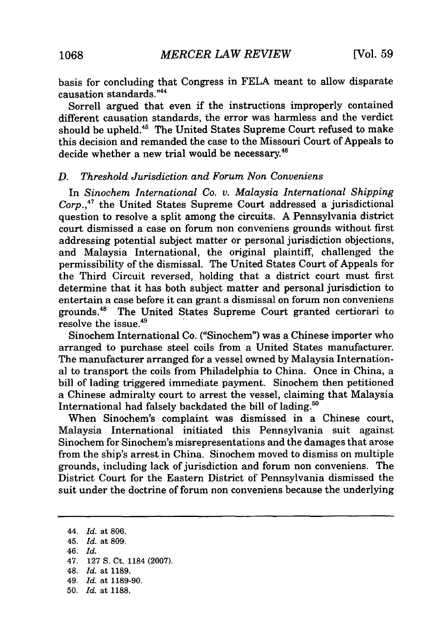basis for concluding that Congress in FELA meant to allow disparate causation standards."<sup>44</sup>

Sorrell argued that even if the instructions improperly contained different causation standards, the error was harmless and the verdict should be upheld.<sup>45</sup> The United States Supreme Court refused to make this decision and remanded the case to the Missouri Court of Appeals to decide whether a new trial would be necessary.<sup>46</sup>

## *D. Threshold Jurisdiction and Forum Non Conveniens*

In *Sinochem International Co. v. Malaysia International Shipping* Corp.,<sup>47</sup> the United States Supreme Court addressed a jurisdictional question to resolve a split among the circuits. A Pennsylvania district court dismissed a case on forum non conveniens grounds without first addressing potential subject matter or personal jurisdiction objections, and Malaysia International, the original plaintiff, challenged the permissibility of the dismissal. The United States Court of Appeals for the Third Circuit reversed, holding that a district court must first determine that it has both subject matter and personal jurisdiction to entertain a case before it can grant a dismissal on forum non conveniens grounds.4" The United States Supreme Court granted certiorari to resolve the issue.49

Sinochem International Co. ("Sinochem") was a Chinese importer who arranged to purchase steel coils from a United States manufacturer. The manufacturer arranged for a vessel owned by Malaysia International to transport the coils from Philadelphia to China. Once in China, a bill of lading triggered immediate payment. Sinochem then petitioned a Chinese admiralty court to arrest the vessel, claiming that Malaysia International had falsely backdated the bill of lading.<sup>50</sup>

When Sinochem's complaint was dismissed in a Chinese court, Malaysia International initiated this Pennsylvania suit against Sinochem for Sinochem's misrepresentations and the damages that arose from the ship's arrest in China. Sinochem moved to dismiss on multiple grounds, including lack of jurisdiction and forum non conveniens. The District Court for the Eastern District of Pennsylvania dismissed the suit under the doctrine of forum non conveniens because the underlying

44. *Id.* at 806. 45. *Id.* at 809. 46. *Id.* 47. 127 S. Ct. 1184 (2007). 48. *Id.* at 1189. 49. *Id.* at 1189-90. 50. *Id.* at 1188.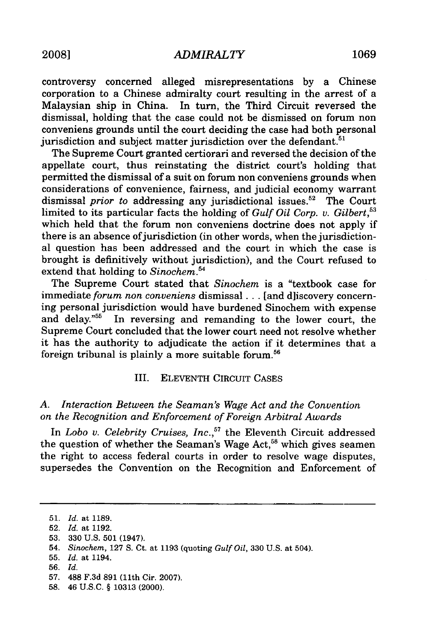controversy concerned alleged misrepresentations by a Chinese corporation to a Chinese admiralty court resulting in the arrest of a Malaysian ship in China. In turn, the Third Circuit reversed the dismissal, holding that the case could not be dismissed on forum non conveniens grounds until the court deciding the case had both personal jurisdiction and subject matter jurisdiction over the defendant. $51$ 

The Supreme Court granted certiorari and reversed the decision of the appellate court, thus reinstating the district court's holding that permitted the dismissal of a suit on forum non conveniens grounds when considerations of convenience, fairness, and judicial economy warrant dismissal *prior to* addressing any jurisdictional issues.<sup>52</sup> The Court limited to its particular facts the holding of *Gulf Oil Corp. v. Gilbert*,<sup>53</sup> which held that the forum non conveniens doctrine does not apply if there is an absence of jurisdiction (in other words, when the jurisdictional question has been addressed and the court in which the case is brought is definitively without jurisdiction), and the Court refused to extend that holding to *Sinochem.54*

The Supreme Court stated that *Sinochem* is a "textbook case for immediate *forum non conveniens* dismissal **...** [and d]iscovery concerning personal jurisdiction would have burdened Sinochem with expense and delay."55 In reversing and remanding to the lower court, the Supreme Court concluded that the lower court need not resolve whether it has the authority to adjudicate the action if it determines that a foreign tribunal is plainly a more suitable forum.<sup>56</sup>

# III. ELEVENTH CIRCUIT CASES

## *A. Interaction Between the Seaman's Wage Act and the Convention on the Recognition and Enforcement of Foreign Arbitral Awards*

In *Lobo v. Celebrity Cruises, Inc.,"* the Eleventh Circuit addressed the question of whether the Seaman's Wage Act,<sup>58</sup> which gives seamer the right to access federal courts in order to resolve wage disputes, supersedes the Convention on the Recognition and Enforcement of

<sup>51.</sup> *Id.* at 1189.

<sup>52.</sup> *Id.* at 1192.

<sup>53. 330</sup> U.S. 501 (1947).

<sup>54.</sup> *Sinochem,* 127 **S.** Ct. at 1193 (quoting *Gulf Oil,* 330 U.S. at 504).

<sup>55.</sup> *Id.* at 1194.

<sup>56.</sup> *Id.*

<sup>57. 488</sup> F.3d 891 (11th Cir. 2007).

<sup>58. 46</sup> U.S.C. § 10313 (2000).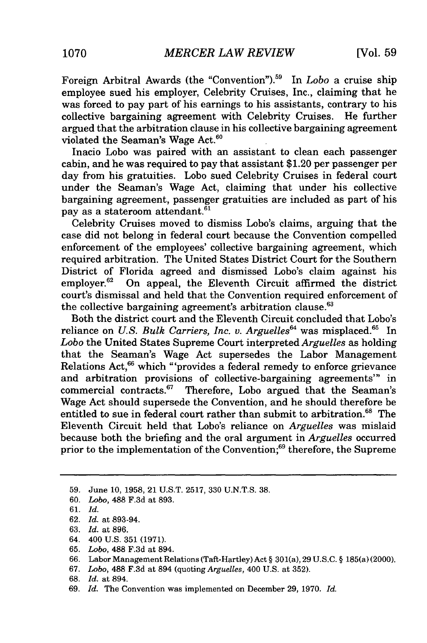Foreign Arbitral Awards (the "Convention").59 In *Lobo* a cruise ship employee sued his employer, Celebrity Cruises, Inc., claiming that he was forced to pay part of his earnings to his assistants, contrary to his collective bargaining agreement with Celebrity Cruises. He further argued that the arbitration clause in his collective bargaining agreement violated the Seaman's Wage Act.<sup>6</sup>

Inacio Lobo was paired with an assistant to clean each passenger cabin, and he was required to pay that assistant \$1.20 per passenger per day from his gratuities. Lobo sued Celebrity Cruises in federal court under the Seaman's Wage Act, claiming that under his collective bargaining agreement, passenger gratuities are included as part of his pay as a stateroom attendant.<sup>61</sup>

Celebrity Cruises moved to dismiss Lobo's claims, arguing that the case did not belong in federal court because the Convention compelled enforcement of the employees' collective bargaining agreement, which required arbitration. The United States District Court for the Southern District of Florida agreed and dismissed Lobo's claim against his employer.<sup>62</sup> On appeal, the Eleventh Circuit affirmed the district court's dismissal and held that the Convention required enforcement of the collective bargaining agreement's arbitration clause.<sup>63</sup>

Both the district court and the Eleventh Circuit concluded that Lobo's reliance on *U.S. Bulk Carriers, Inc. v. Arguelles*<sup>64</sup> was misplaced.<sup>65</sup> In *Lobo* the United States Supreme Court interpreted *Arguelles* as holding that the Seaman's Wage Act supersedes the Labor Management Relations Act,<sup>66</sup> which "'provides a federal remedy to enforce grievance and arbitration provisions of collective-bargaining agreements'" in commercial contracts. $67$  Therefore, Lobo argued that the Seaman's Wage Act should supersede the Convention, and he should therefore be entitled to sue in federal court rather than submit to arbitration.<sup>68</sup> The Eleventh Circuit held that Lobo's reliance on *Arguelles* was mislaid because both the briefing and the oral argument in *Arguelles* occurred prior to the implementation of the Convention;<sup>69</sup> therefore, the Supreme

- 64. 400 U.S. 351 (1971).
- 65. *Lobo,* 488 F.3d at 894.

- 67. *Lobo,* 488 F.3d at 894 (quoting *Arguelles,* 400 U.S. at 352).
- 68. *Id.* at 894.
- 69. *Id.* The Convention was implemented on December 29, 1970. *Id.*

<sup>59.</sup> June 10, 1958, 21 U.S.T. 2517, 330 U.N.T.S. 38.

<sup>60.</sup> *Lobo,* 488 F.3d at 893.

<sup>61.</sup> *Id.*

<sup>62.</sup> *Id.* at 893-94.

<sup>63.</sup> *Id.* at 896.

<sup>66.</sup> Labor Management Relations (Taft-Hartley) Act § 301(a), 29 U.S.C. § 185(a) (2000).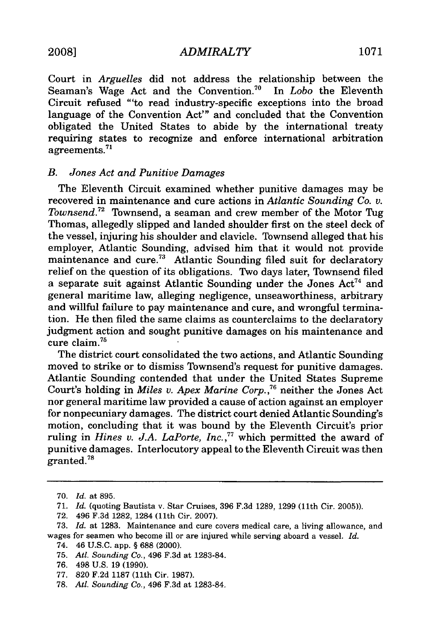*ADMIRALTY* **2008] 1071**

Court in *Arguelles* did not address the relationship between the Seaman's Wage Act and the Convention.<sup>70</sup> In *Lobo* the Eleventh Seaman's Wage Act and the Convention.<sup>70</sup> Circuit refused "'to read industry-specific exceptions into the broad language of the Convention Act"' and concluded that the Convention obligated the United States to abide by the international treaty requiring states to recognize and enforce international arbitration agreements.7'

### *B. Jones Act and Punitive Damages*

The Eleventh Circuit examined whether punitive damages may be recovered in maintenance and cure actions in *Atlantic Sounding Co. v. Townsend.72* Townsend, a seaman and crew member of the Motor Tug Thomas, allegedly slipped and landed shoulder first on the steel deck of the vessel, injuring his shoulder and clavicle. Townsend alleged that his employer, Atlantic Sounding, advised him that it would not provide maintenance and cure.<sup>73</sup> Atlantic Sounding filed suit for declaratory relief on the question of its obligations. Two days later, Townsend filed a separate suit against Atlantic Sounding under the Jones  $Act<sup>74</sup>$  and general maritime law, alleging negligence, unseaworthiness, arbitrary and willful failure to pay maintenance and cure, and wrongful termination. He then filed the same claims as counterclaims to the declaratory judgment action and sought punitive damages on his maintenance and cure claim.75

The district court consolidated the two actions, and Atlantic Sounding moved to strike or to dismiss Townsend's request for punitive damages. Atlantic Sounding contended that under the United States Supreme Court's holding in *Miles v. Apex Marine Corp.*,<sup>76</sup> neither the Jones Act nor general maritime law provided a cause of action against an employer for nonpecuniary damages. The district court denied Atlantic Sounding's motion, concluding that it was bound **by** the Eleventh Circuit's prior ruling in *Hines v. J.A. LaPorte, Inc.*,<sup>77</sup> which permitted the award of punitive damages. Interlocutory appeal to the Eleventh Circuit was then  $_{\rm granted.}^{\rm}$ 

<sup>70.</sup> *Id.* at 895.

<sup>71.</sup> *Id.* (quoting Bautista v. Star Cruises, 396 F.3d 1289, 1299 (11th Cir. 2005)).

<sup>72. 496</sup> F.3d 1282, 1284 (11th Cir. 2007).

<sup>73.</sup> *Id.* at 1283. Maintenance and cure covers medical care, a living allowance, and wages for seamen who become ill or are injured while serving aboard a vessel. *Id.*

<sup>74. 46</sup> U.S.C. app. § 688 (2000).

<sup>75.</sup> *Atl. Sounding Co.,* 496 F.3d at 1283-84.

<sup>76. 498</sup> U.S. 19 (1990).

<sup>77. 820</sup> F.2d **1187** (11th Cir. 1987).

<sup>78.</sup> *AtI. Sounding Co.,* 496 F.3d at 1283-84.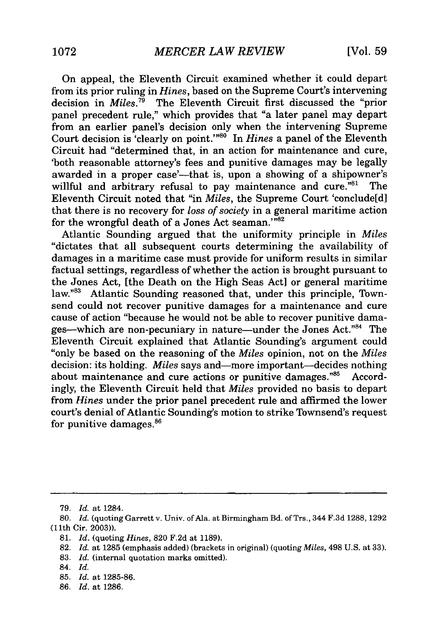On appeal, the Eleventh Circuit examined whether it could depart from its prior ruling in *Hines,* based on the Supreme Court's intervening decision in *Miles.79* The Eleventh Circuit first discussed the "prior panel precedent rule," which provides that "a later panel may depart from an earlier panel's decision only when the intervening Supreme Court decision is 'clearly on point.'"<sup>80</sup> In *Hines* a panel of the Eleventh Circuit had "determined that, in an action for maintenance and cure, 'both reasonable attorney's fees and punitive damages may be legally awarded in a proper case'---that is, upon a showing of a shipowner's willful and arbitrary refusal to pay maintenance and cure."<sup>81</sup> The Eleventh Circuit noted that "in *Miles,* the Supreme Court 'conclude[d] that there is no recovery for *loss of society* in a general maritime action for the wrongful death of a Jones Act seaman."<sup>82</sup>

Atlantic Sounding argued that the uniformity principle in *Miles* "dictates that all subsequent courts determining the availability of damages in a maritime case must provide for uniform results in similar factual settings, regardless of whether the action is brought pursuant to the Jones Act, [the Death on the High Seas Act] or general maritime law."<sup>83</sup> Atlantic Sounding reasoned that, under this principle, Townsend could not recover punitive damages for a maintenance and cure cause of action "because he would not be able to recover punitive damages--which are non-pecuniary in nature-under the Jones Act."84 The Eleventh Circuit explained that Atlantic Sounding's argument could "only be based on the reasoning of the *Miles* opinion, not on the *Miles* decision: its holding. *Miles* says and—more important—decides nothing about maintenance and cure actions or punitive damages. $^{85}$  Accordingly, the Eleventh Circuit held that *Miles* provided no basis to depart from *Hines* under the prior panel precedent rule and affirmed the lower court's denial of Atlantic Sounding's motion to strike Townsend's request for punitive damages.<sup>86</sup>

- 85. *Id.* at 1285-86.
- 86. *Id.* at 1286.

<sup>79.</sup> *Id.* at 1284.

<sup>80.</sup> *Id.* (quoting Garrett v. Univ. of Ala. at Birmingham Bd. of Trs., 344 F.3d 1288, 1292 (11th Cir. 2003)).

<sup>81.</sup> *Id.* (quoting *Hines,* 820 F.2d at 1189).

<sup>82.</sup> *Id.* at 1285 (emphasis added) (brackets in original) (quoting *Miles,* 498 U.S. at 33).

<sup>83.</sup> *Id.* (internal quotation marks omitted).

<sup>84.</sup> *Id.*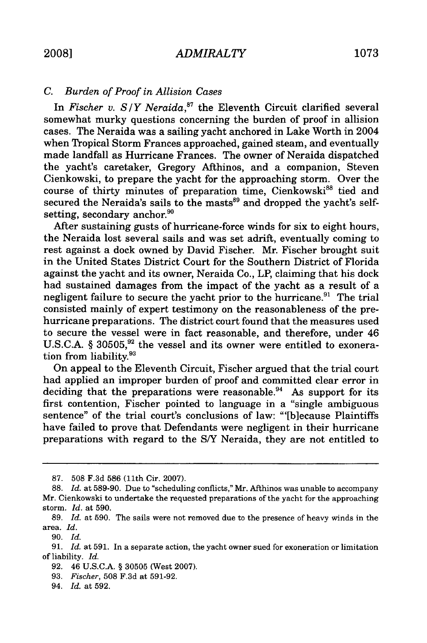## *C. Burden of Proof in Allision Cases*

In *Fischer v. S/Y Neraida*,<sup>87</sup> the Eleventh Circuit clarified several somewhat murky questions concerning the burden of proof in allision cases. The Neraida was a sailing yacht anchored in Lake Worth in 2004 when Tropical Storm Frances approached, gained steam, and eventually made landfall as Hurricane Frances. The owner of Neraida dispatched the yacht's caretaker, Gregory Afthinos, and a companion, Steven Cienkowski, to prepare the yacht for the approaching storm. Over the course of thirty minutes of preparation time, Cienkowski<sup>88</sup> tied and secured the Neraida's sails to the masts<sup>89</sup> and dropped the yacht's selfsetting, secondary anchor. $^{90}$ 

After sustaining gusts of hurricane-force winds for six to eight hours, the Neraida lost several sails and was set adrift, eventually coming to rest against a dock owned by David Fischer. Mr. Fischer brought suit in the United States District Court for the Southern District of Florida against the yacht and its owner, Neraida Co., LP, claiming that his dock had sustained damages from the impact of the yacht as a result of a negligent failure to secure the yacht prior to the hurricane.<sup>91</sup> The trial consisted mainly of expert testimony on the reasonableness of the prehurricane preparations. The district court found that the measures used to secure the vessel were in fact reasonable, and therefore, under 46 U.S.C.A. § 30505,<sup>92</sup> the vessel and its owner were entitled to exoneration from liability.<sup>93</sup>

On appeal to the Eleventh Circuit, Fischer argued that the trial court had applied an improper burden of proof and committed clear error in deciding that the preparations were reasonable.<sup>94</sup> As support for its first contention, Fischer pointed to language in a "single ambiguous sentence" of the trial court's conclusions of law: "'[b]ecause Plaintiffs have failed to prove that Defendants were negligent in their hurricane preparations with regard to the S/Y Neraida, they are not entitled to

<sup>87. 508</sup> F.3d 586 (11th Cir. 2007).

<sup>88.</sup> *Id.* at 589-90. Due to "scheduling conflicts," Mr. Afthinos was unable to accompany Mr. Cienkowski to undertake the requested preparations of the yacht for the approaching storm. *Id.* at 590.

<sup>89.</sup> *Id.* at 590. The sails were not removed due to the presence of heavy winds in the area. *Id.*

<sup>90.</sup> *Id.*

<sup>91.</sup> *Id.* at 591. In a separate action, the yacht owner sued for exoneration or limitation of liability. *Id.*

<sup>92. 46</sup> U.S.C.A. § 30505 (West 2007).

<sup>93.</sup> *Fischer,* 508 F.3d at 591-92.

<sup>94.</sup> *Id.* at 592.